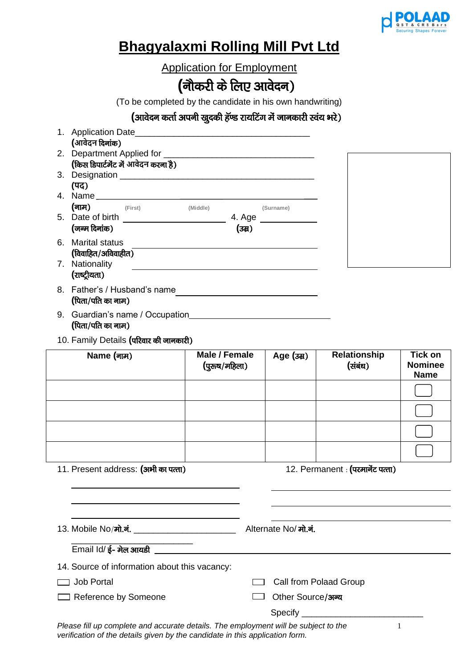

## **Bhagyalaxmi Rolling Mill Pvt Ltd**

Application for Employment

## (नौकरी के लिए आवेदन)

(To be completed by the candidate in his own handwriting)

**(आवेदन कर्ता अपनी खुदकी हॅण्ड रायटिंग में जानकारी स्वंय भरे)** 

| 1. Application Date____                   |  |
|-------------------------------------------|--|
| (आवेदन दिनांक)                            |  |
| 2. Department Applied for                 |  |
| (किस डिपार्टमेंट में आवेदन करना है)       |  |
| 3. Designation                            |  |
| (पद)                                      |  |
| 4. Name ________                          |  |
| (नाम)<br>(First)<br>(Middle)<br>(Surname) |  |
| 5. Date of birth<br>4. Age                |  |
| (जन्म दिनांक)<br>(उम्र)                   |  |
| 6. Marital status                         |  |
| (विवाहित/अविवाहीत)                        |  |
| 7. Nationality                            |  |
| (राष्ट्रीयता)                             |  |
| 8. Father's / Husband's name              |  |
| (पिता/पति का नाम)                         |  |

- 9. Guardian's name / Occupation **(**पिता/पति का नाम)
- 10. Family Details (परिवार की जानकारी)

| Name (नाम)                          | Male / Female<br>(पुरुष/महिला) | Age (उम्र) | <b>Relationship</b><br>(संबंध)    | <b>Tick on</b><br><b>Nominee</b><br><b>Name</b> |
|-------------------------------------|--------------------------------|------------|-----------------------------------|-------------------------------------------------|
|                                     |                                |            |                                   |                                                 |
|                                     |                                |            |                                   |                                                 |
|                                     |                                |            |                                   |                                                 |
|                                     |                                |            |                                   |                                                 |
| 11. Present address: (अभी का पत्ता) |                                |            | 12. Permanent : (परमार्नेट पत्ता) |                                                 |

13. Mobile No/मो.नं. \_\_\_\_\_\_\_\_\_\_\_\_\_\_\_\_\_\_\_\_\_\_\_\_\_\_\_\_\_\_\_\_\_ Alternate No/ मो.नं. \_\_\_\_\_\_\_\_\_\_\_\_\_\_\_\_\_\_\_\_\_\_\_\_\_  $E$ mail Id/ $\xi$ - मेल आयडी 14. Source of information about this vacancy: Job Portal Call from Polaad Group

- □ Reference by Someone ○ Other Source/अन्य
- - Specify **and Specify**

*Please fill up complete and accurate details. The employment will be subject to the verification of the details given by the candidate in this application form.*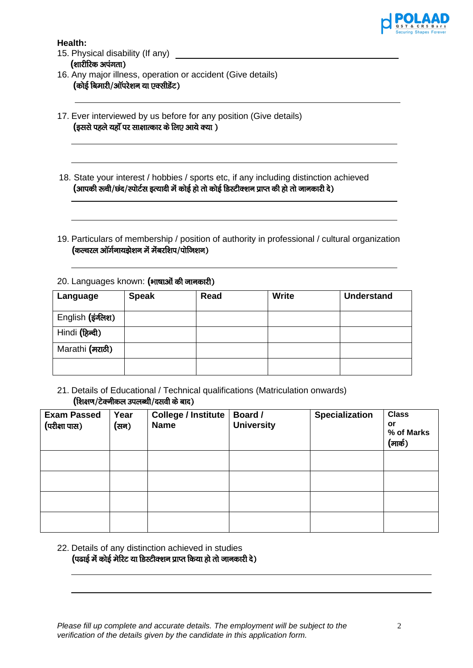

**Health:**

- 15. Physical disability (If any) **(**शारीरिक अपंगता)
- 16. Any major illness, operation or accident (Give details) *(कोई बिमारी/ऑपरेशन या एक्सीडेंट)*
- 17. Ever interviewed by us before for any position (Give details) **(इससे पहले यहाँ पर साक्षात्कार के लिए आये क्या )**
- 18. State your interest / hobbies / sports etc, if any including distinction achieved (आपकी रूची/छंद/स्पोर्टस इत्यादी में कोई हो तो कोई डिस्टीक्शन प्राप्त की हो तो जानकारी दे)
- 19. Particulars of membership / position of authority in professional / cultural organization (कल्चरल ऑर्गनायझेशन में मेंबरशिप/पोजिशन)
- 20. Languages known: (भाषाओं की जानकारी)

| Language          | <b>Speak</b> | Read | <b>Write</b> | <b>Understand</b> |
|-------------------|--------------|------|--------------|-------------------|
| English (इंग्लिश) |              |      |              |                   |
| Hindi (हिन्दी)    |              |      |              |                   |
| Marathi (मराठी)   |              |      |              |                   |
|                   |              |      |              |                   |

21. Details of Educational / Technical qualifications (Matriculation onwards) *(शिक्षण/टेक्*नीकल उपलब्धी/दसवी के बाद)

| <b>Exam Passed</b><br>(परीक्षा पास) | Year<br>(सन) | <b>College / Institute</b><br><b>Name</b> | Board /<br><b>University</b> | <b>Specialization</b> | <b>Class</b><br>or<br>% of Marks<br>(मार्क) |
|-------------------------------------|--------------|-------------------------------------------|------------------------------|-----------------------|---------------------------------------------|
|                                     |              |                                           |                              |                       |                                             |
|                                     |              |                                           |                              |                       |                                             |
|                                     |              |                                           |                              |                       |                                             |
|                                     |              |                                           |                              |                       |                                             |

22. Details of any distinction achieved in studies (पढाई में कोई मेरिट या डिस्टीक्शन प्राप्त किया हो तो जानकारी दे)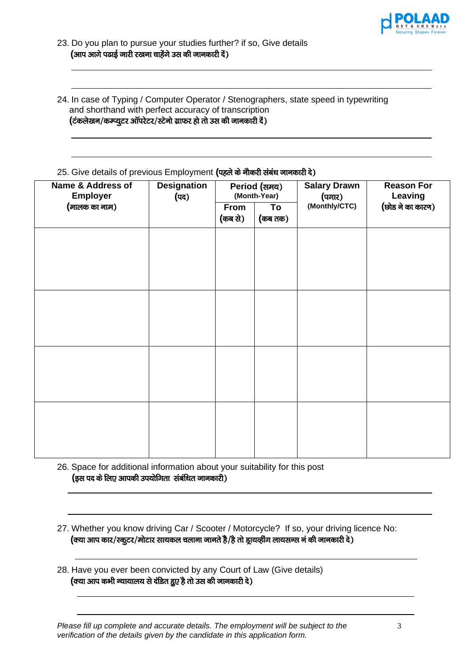

24. In case of Typing / Computer Operator / Stenographers, state speed in typewriting and shorthand with perfect accuracy of transcription (टंकलेखन/कम्प्यूटर ऑपरेटर/स्टेनो ग्राफर हो तो उस की जानकारी दें)

## 25. Give details of previous Employment (पहले के नौकरी संबंध जानकारी दे)

| Name & Address of<br><b>Employer</b> | <b>Designation</b><br>(पद) | Period (समय)<br>(Month-Year) |               | <b>Salary Drawn</b><br>(पगार) | <b>Reason For</b><br><b>Leaving</b> |  |
|--------------------------------------|----------------------------|------------------------------|---------------|-------------------------------|-------------------------------------|--|
| (मालक का नाम)                        |                            | From<br>(कब से)              | To<br>(कब तक) | (Monthly/CTC)                 | (छोड ने का कारण)                    |  |
|                                      |                            |                              |               |                               |                                     |  |
|                                      |                            |                              |               |                               |                                     |  |
|                                      |                            |                              |               |                               |                                     |  |
|                                      |                            |                              |               |                               |                                     |  |
|                                      |                            |                              |               |                               |                                     |  |
|                                      |                            |                              |               |                               |                                     |  |
|                                      |                            |                              |               |                               |                                     |  |
|                                      |                            |                              |               |                               |                                     |  |

26. Space for additional information about your suitability for this post **(इस पद के लिए आपकी उपयोगिता संबंधित जानकारी)** 

- 27. Whether you know driving Car / Scooter / Motorcycle? If so, your driving licence No:  $($ क्या आप कार/स्कूटर/मोटार सायकल चलाना जानते है/है तो ड्रायर्व्हींग लायसन्स नं की जानकारी दे)
- 28. Have you ever been convicted by any Court of Law (Give details) **(**क्या आप कभी न्यायालय से दंडित हुए है तो उस की जानकारी दे)